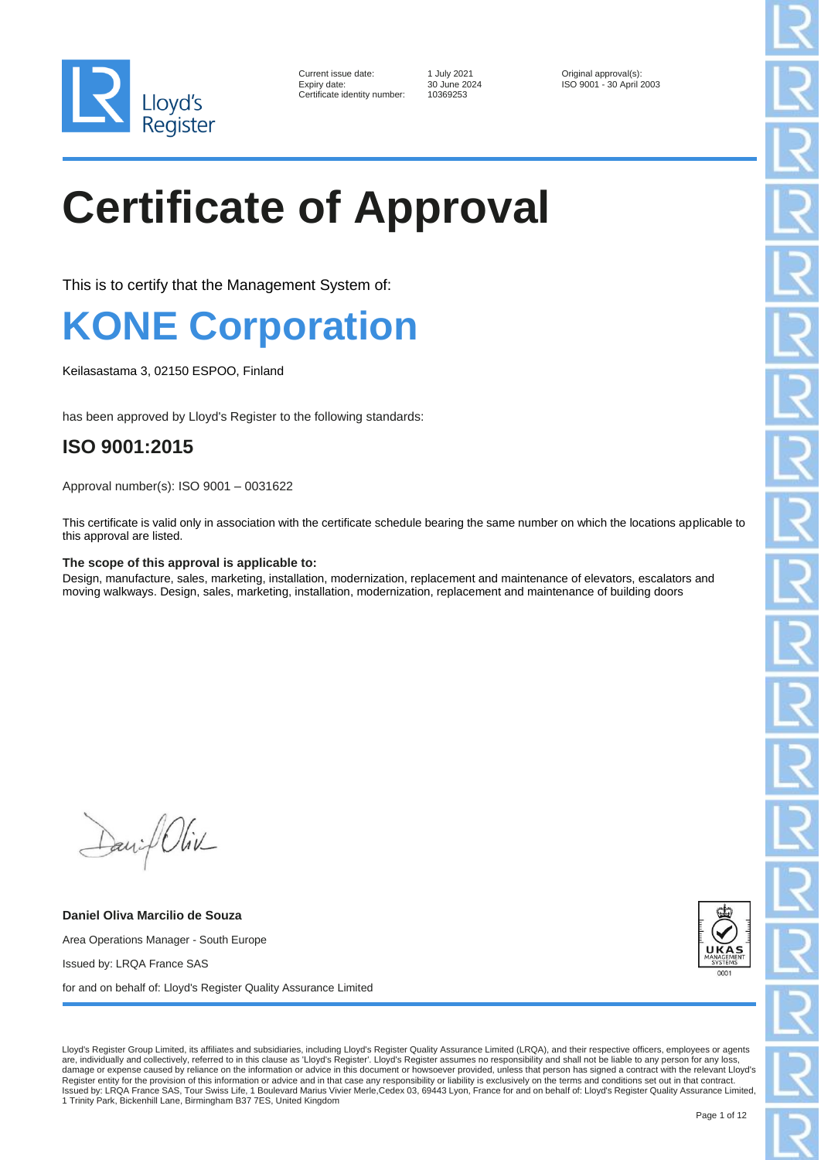

| Current issue date:        |
|----------------------------|
| Expiry date:               |
| Certificate identity numbe |

er: 10369253

1 July 2021 **Current issue data Current issues** Original approval(s):<br>30 June 2024 **ISO 9001 - 30 April 1** ISO 9001 - 30 April 2003

# **Certificate of Approval**

This is to certify that the Management System of:

### **KONE Corporation**

Keilasastama 3, 02150 ESPOO, Finland

has been approved by Lloyd's Register to the following standards:

### **ISO 9001:2015**

Approval number(s): ISO 9001 – 0031622

This certificate is valid only in association with the certificate schedule bearing the same number on which the locations applicable to this approval are listed.

#### **The scope of this approval is applicable to:**

Design, manufacture, sales, marketing, installation, modernization, replacement and maintenance of elevators, escalators and moving walkways. Design, sales, marketing, installation, modernization, replacement and maintenance of building doors

Daniel Oliv

**Daniel Oliva Marcilio de Souza** Area Operations Manager - South Europe Issued by: LRQA France SAS for and on behalf of: Lloyd's Register Quality Assurance Limited



Lloyd's Register Group Limited, its affiliates and subsidiaries, including Lloyd's Register Quality Assurance Limited (LRQA), and their respective officers, employees or agents are, individually and collectively, referred to in this clause as 'Lloyd's Register'. Lloyd's Register assumes no responsibility and shall not be liable to any person for any loss, damage or expense caused by reliance on the information or advice in this document or howsoever provided, unless that person has signed a contract with the relevant Lloyd's Register entity for the provision of this information or advice and in that case any responsibility or liability is exclusively on the terms and conditions set out in that contract.<br>Issued by: LRQA France SAS, Tour Swiss L 1 Trinity Park, Bickenhill Lane, Birmingham B37 7ES, United Kingdom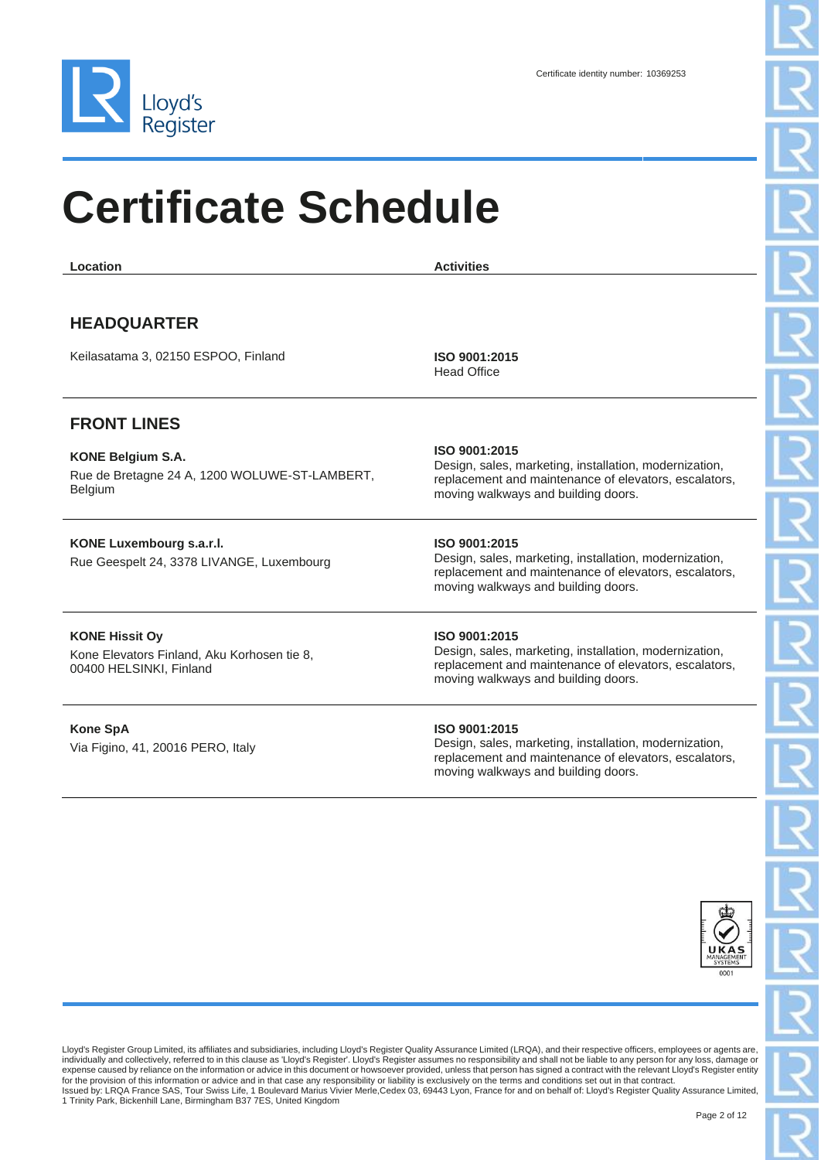

| Location                                                                                        | <b>Activities</b>                                                                                                                                                       |
|-------------------------------------------------------------------------------------------------|-------------------------------------------------------------------------------------------------------------------------------------------------------------------------|
| <b>HEADQUARTER</b><br>Keilasatama 3, 02150 ESPOO, Finland                                       | ISO 9001:2015                                                                                                                                                           |
|                                                                                                 | <b>Head Office</b>                                                                                                                                                      |
| <b>FRONT LINES</b>                                                                              |                                                                                                                                                                         |
| <b>KONE Belgium S.A.</b><br>Rue de Bretagne 24 A, 1200 WOLUWE-ST-LAMBERT,<br><b>Belgium</b>     | ISO 9001:2015<br>Design, sales, marketing, installation, modernization,<br>replacement and maintenance of elevators, escalators,<br>moving walkways and building doors. |
| KONE Luxembourg s.a.r.l.<br>Rue Geespelt 24, 3378 LIVANGE, Luxembourg                           | ISO 9001:2015<br>Design, sales, marketing, installation, modernization,<br>replacement and maintenance of elevators, escalators,<br>moving walkways and building doors. |
| <b>KONE Hissit Ov</b><br>Kone Elevators Finland, Aku Korhosen tie 8,<br>00400 HELSINKI, Finland | ISO 9001:2015<br>Design, sales, marketing, installation, modernization,<br>replacement and maintenance of elevators, escalators,<br>moving walkways and building doors. |
| <b>Kone SpA</b><br>Via Figino, 41, 20016 PERO, Italy                                            | ISO 9001:2015<br>Design, sales, marketing, installation, modernization,<br>replacement and maintenance of elevators, escalators,<br>moving walkways and building doors. |

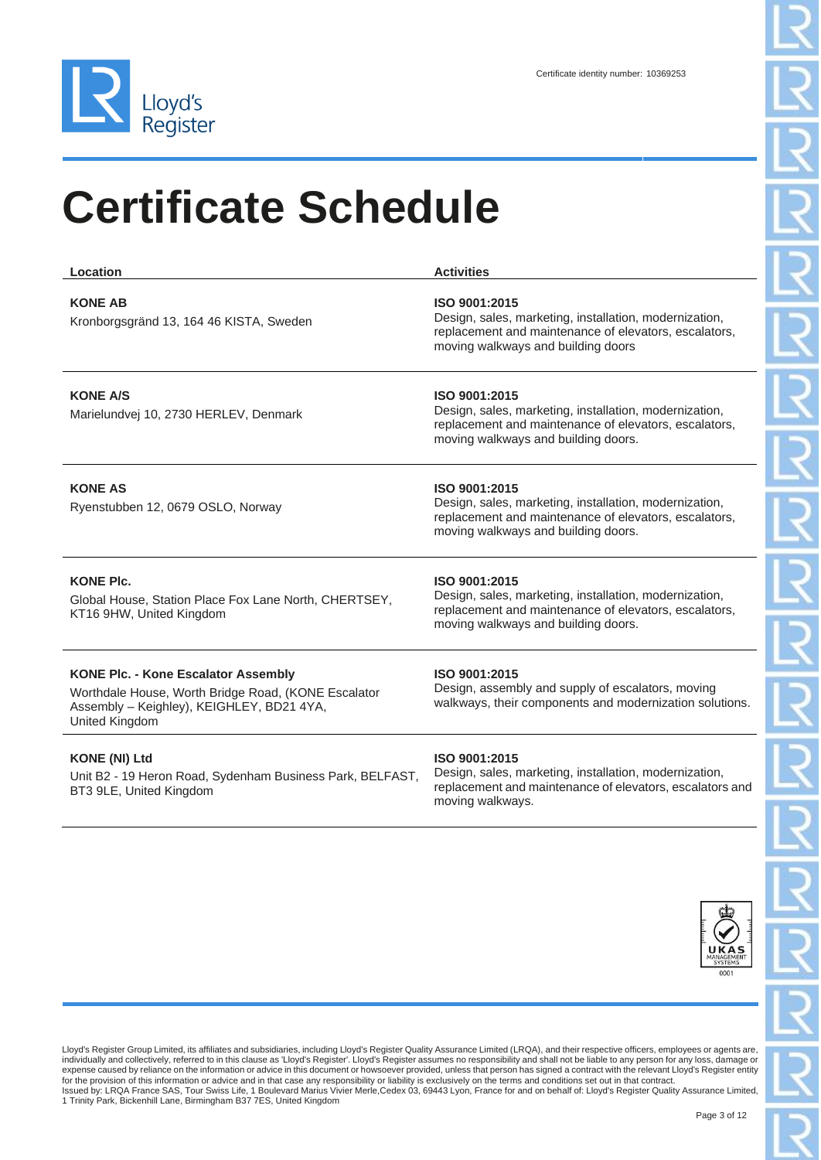

| Location                                                                                                                                                         | <b>Activities</b>                                                                                                                                                       |
|------------------------------------------------------------------------------------------------------------------------------------------------------------------|-------------------------------------------------------------------------------------------------------------------------------------------------------------------------|
| <b>KONE AB</b><br>Kronborgsgränd 13, 164 46 KISTA, Sweden                                                                                                        | ISO 9001:2015<br>Design, sales, marketing, installation, modernization,<br>replacement and maintenance of elevators, escalators,<br>moving walkways and building doors  |
| <b>KONE A/S</b><br>Marielundvej 10, 2730 HERLEV, Denmark                                                                                                         | ISO 9001:2015<br>Design, sales, marketing, installation, modernization,<br>replacement and maintenance of elevators, escalators,<br>moving walkways and building doors. |
| <b>KONE AS</b><br>Ryenstubben 12, 0679 OSLO, Norway                                                                                                              | ISO 9001:2015<br>Design, sales, marketing, installation, modernization,<br>replacement and maintenance of elevators, escalators,<br>moving walkways and building doors. |
| <b>KONE PIc.</b><br>Global House, Station Place Fox Lane North, CHERTSEY,<br>KT16 9HW, United Kingdom                                                            | ISO 9001:2015<br>Design, sales, marketing, installation, modernization,<br>replacement and maintenance of elevators, escalators,<br>moving walkways and building doors. |
| <b>KONE Plc. - Kone Escalator Assembly</b><br>Worthdale House, Worth Bridge Road, (KONE Escalator<br>Assembly - Keighley), KEIGHLEY, BD21 4YA,<br>United Kingdom | ISO 9001:2015<br>Design, assembly and supply of escalators, moving<br>walkways, their components and modernization solutions.                                           |
| <b>KONE (NI) Ltd</b><br>Llnit R2 - 10 Heron Road, Sydenham Business Park, RELEAST                                                                                | ISO 9001:2015<br>Design, sales, marketing, installation, modernization,                                                                                                 |

Heron Road, Sy BT3 9LE, United Kingdom

Design, sales, marketing, installation, modernization, replacement and maintenance of elevators, escalators and moving walkways.

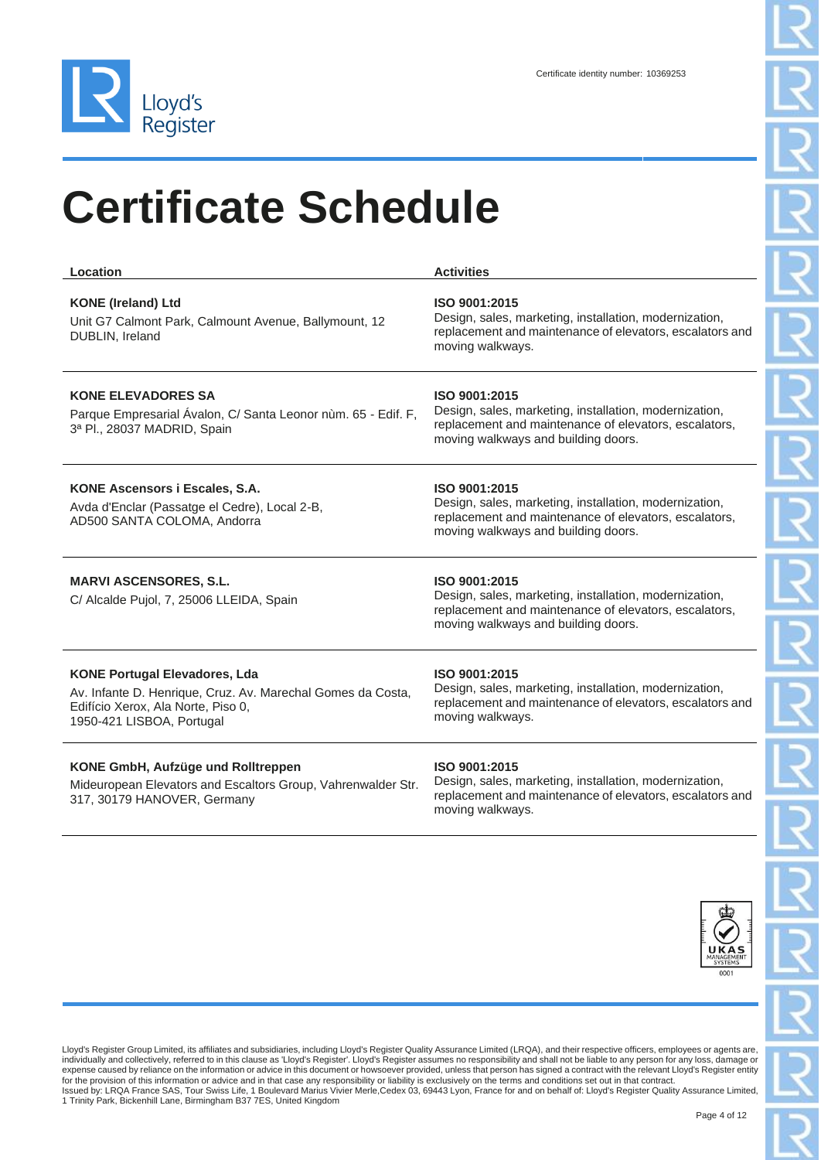

| Location                                                                                                                                                               | <b>Activities</b>                                                                                                                                                       |
|------------------------------------------------------------------------------------------------------------------------------------------------------------------------|-------------------------------------------------------------------------------------------------------------------------------------------------------------------------|
| <b>KONE</b> (Ireland) Ltd<br>Unit G7 Calmont Park, Calmount Avenue, Ballymount, 12<br>DUBLIN, Ireland                                                                  | ISO 9001:2015<br>Design, sales, marketing, installation, modernization,<br>replacement and maintenance of elevators, escalators and<br>moving walkways.                 |
| <b>KONE ELEVADORES SA</b><br>Parque Empresarial Ávalon, C/ Santa Leonor nùm. 65 - Edif. F,<br>3ª Pl., 28037 MADRID, Spain                                              | ISO 9001:2015<br>Design, sales, marketing, installation, modernization,<br>replacement and maintenance of elevators, escalators,<br>moving walkways and building doors. |
| KONE Ascensors i Escales, S.A.<br>Avda d'Enclar (Passatge el Cedre), Local 2-B,<br>AD500 SANTA COLOMA, Andorra                                                         | ISO 9001:2015<br>Design, sales, marketing, installation, modernization,<br>replacement and maintenance of elevators, escalators,<br>moving walkways and building doors. |
| <b>MARVI ASCENSORES, S.L.</b><br>C/ Alcalde Pujol, 7, 25006 LLEIDA, Spain                                                                                              | ISO 9001:2015<br>Design, sales, marketing, installation, modernization,<br>replacement and maintenance of elevators, escalators,<br>moving walkways and building doors. |
| <b>KONE Portugal Elevadores, Lda</b><br>Av. Infante D. Henrique, Cruz. Av. Marechal Gomes da Costa,<br>Edifício Xerox, Ala Norte, Piso 0,<br>1950-421 LISBOA, Portugal | ISO 9001:2015<br>Design, sales, marketing, installation, modernization,<br>replacement and maintenance of elevators, escalators and<br>moving walkways.                 |
| KONE GmbH, Aufzüge und Rolltreppen                                                                                                                                     | ISO 9001:2015                                                                                                                                                           |

Mideuropean Elevators and Escaltors Group, Vahrenwalder Str. 317, 30179 HANOVER, Germany

#### **ISO 9001:2015**

Design, sales, marketing, installation, modernization, replacement and maintenance of elevators, escalators and moving walkways.

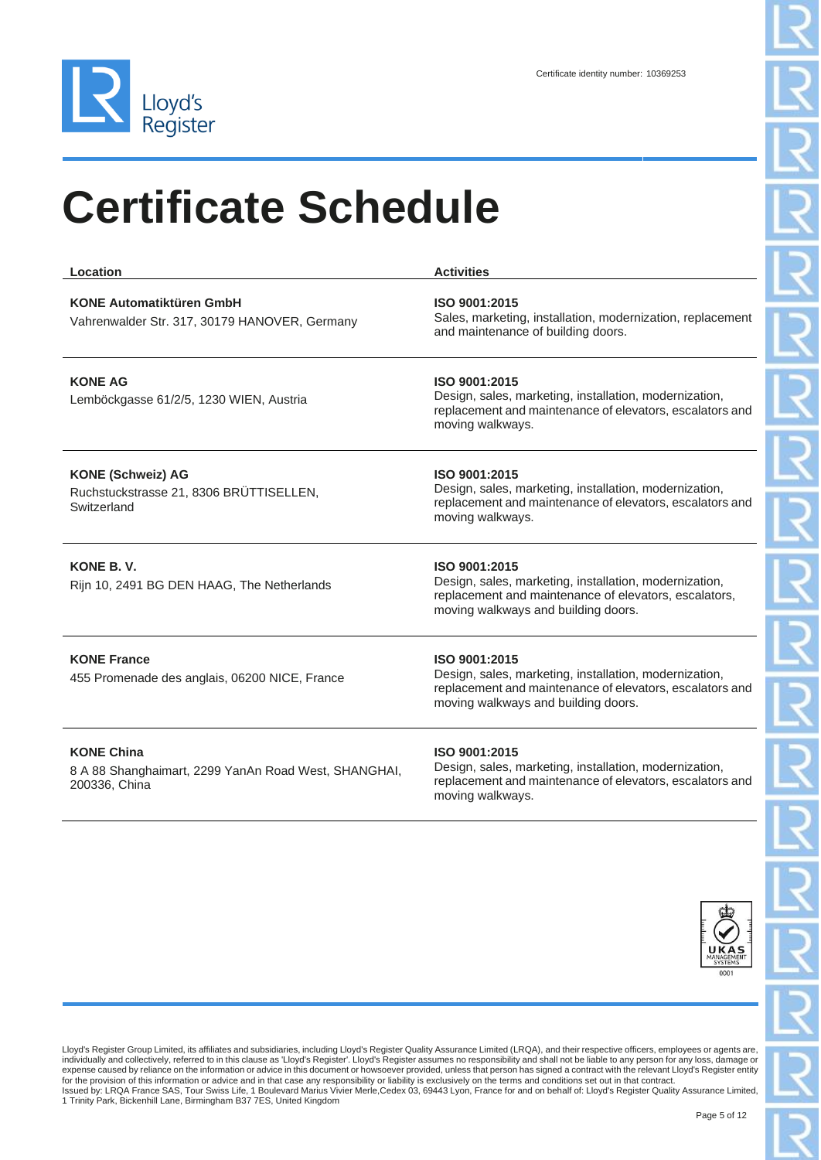

| Location                                                                                   | <b>Activities</b>                                                                                                                                                          |
|--------------------------------------------------------------------------------------------|----------------------------------------------------------------------------------------------------------------------------------------------------------------------------|
| <b>KONE Automatiktüren GmbH</b><br>Vahrenwalder Str. 317, 30179 HANOVER, Germany           | ISO 9001:2015<br>Sales, marketing, installation, modernization, replacement<br>and maintenance of building doors.                                                          |
| <b>KONE AG</b><br>Lemböckgasse 61/2/5, 1230 WIEN, Austria                                  | ISO 9001:2015<br>Design, sales, marketing, installation, modernization,<br>replacement and maintenance of elevators, escalators and<br>moving walkways.                    |
| <b>KONE (Schweiz) AG</b><br>Ruchstuckstrasse 21, 8306 BRÜTTISELLEN,<br>Switzerland         | ISO 9001:2015<br>Design, sales, marketing, installation, modernization,<br>replacement and maintenance of elevators, escalators and<br>moving walkways.                    |
| KONE B.V.<br>Rijn 10, 2491 BG DEN HAAG, The Netherlands                                    | ISO 9001:2015<br>Design, sales, marketing, installation, modernization,<br>replacement and maintenance of elevators, escalators,<br>moving walkways and building doors.    |
| <b>KONE France</b><br>455 Promenade des anglais, 06200 NICE, France                        | ISO 9001:2015<br>Design, sales, marketing, installation, modernization,<br>replacement and maintenance of elevators, escalators and<br>moving walkways and building doors. |
| <b>KONE China</b><br>8 A 88 Shanghaimart, 2299 YanAn Road West, SHANGHAI,<br>200336, China | ISO 9001:2015<br>Design, sales, marketing, installation, modernization,<br>replacement and maintenance of elevators, escalators and<br>moving walkways.                    |

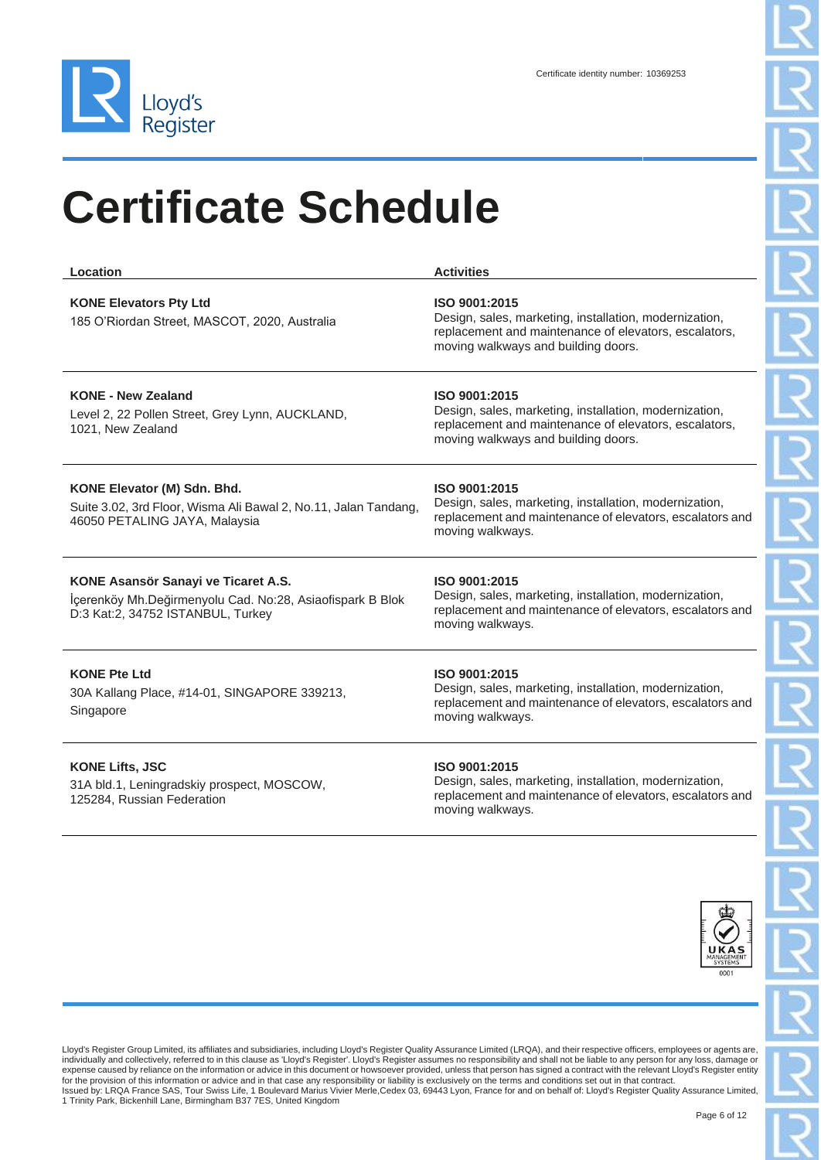

| Location                                                                                                                              | <b>Activities</b>                                                                                                                                                       |
|---------------------------------------------------------------------------------------------------------------------------------------|-------------------------------------------------------------------------------------------------------------------------------------------------------------------------|
| <b>KONE Elevators Pty Ltd</b><br>185 O'Riordan Street, MASCOT, 2020, Australia                                                        | ISO 9001:2015<br>Design, sales, marketing, installation, modernization,<br>replacement and maintenance of elevators, escalators,<br>moving walkways and building doors. |
| <b>KONE - New Zealand</b><br>Level 2, 22 Pollen Street, Grey Lynn, AUCKLAND,<br>1021, New Zealand                                     | ISO 9001:2015<br>Design, sales, marketing, installation, modernization,<br>replacement and maintenance of elevators, escalators,<br>moving walkways and building doors. |
| KONE Elevator (M) Sdn. Bhd.<br>Suite 3.02, 3rd Floor, Wisma Ali Bawal 2, No.11, Jalan Tandang,<br>46050 PETALING JAYA, Malaysia       | ISO 9001:2015<br>Design, sales, marketing, installation, modernization,<br>replacement and maintenance of elevators, escalators and<br>moving walkways.                 |
| KONE Asansör Sanayi ve Ticaret A.S.<br>İçerenköy Mh.Değirmenyolu Cad. No:28, Asiaofispark B Blok<br>D:3 Kat:2, 34752 ISTANBUL, Turkey | ISO 9001:2015<br>Design, sales, marketing, installation, modernization,<br>replacement and maintenance of elevators, escalators and<br>moving walkways.                 |
| <b>KONE Pte Ltd</b><br>30A Kallang Place, #14-01, SINGAPORE 339213,<br>Singapore                                                      | ISO 9001:2015<br>Design, sales, marketing, installation, modernization,<br>replacement and maintenance of elevators, escalators and<br>moving walkways.                 |
| <b>KONE Lifts, JSC</b>                                                                                                                | ISO 9001:2015<br>Docian calor marketing installation modernization                                                                                                      |

31A bld.1, Leningradskiy prospect, MOSCOW, 125284, Russian Federation

Design, sales, marketing, installation, modernization, replacement and maintenance of elevators, escalators and moving walkways.

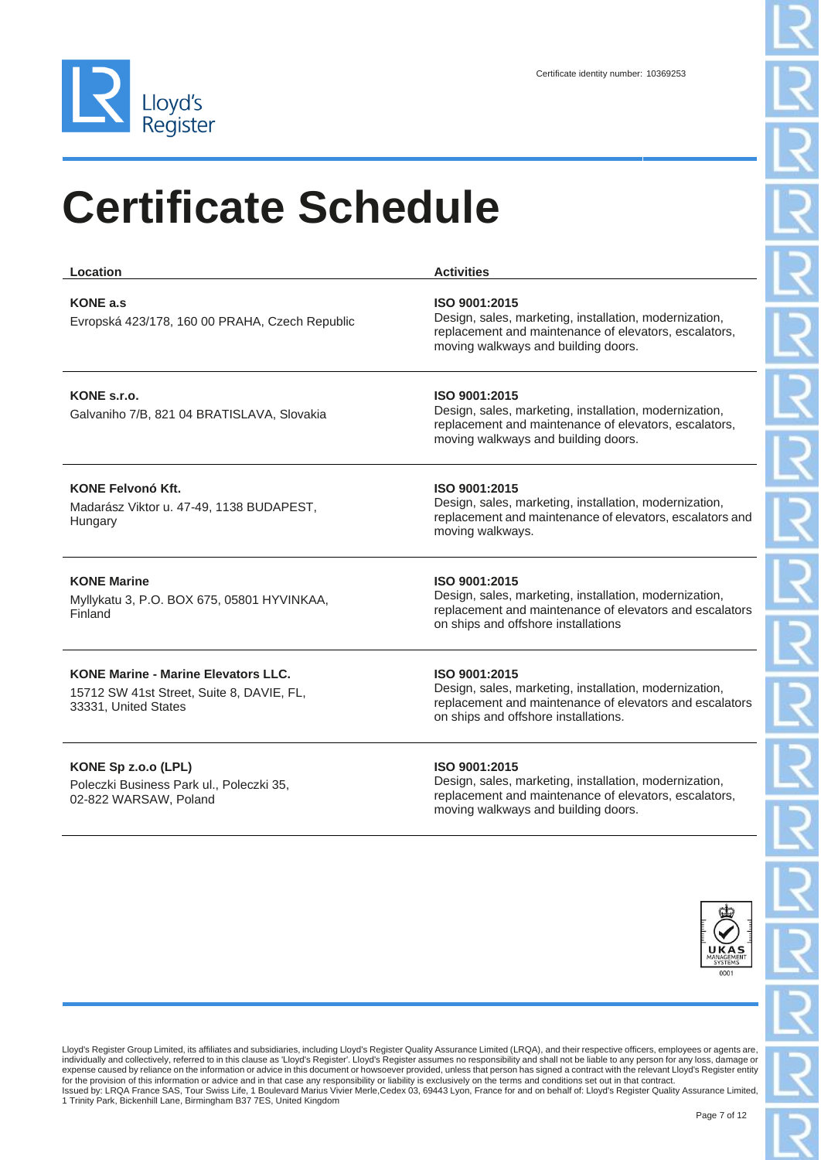

| Location                                                                                                        | <b>Activities</b>                                                                                                                                                          |
|-----------------------------------------------------------------------------------------------------------------|----------------------------------------------------------------------------------------------------------------------------------------------------------------------------|
| <b>KONE a.s</b><br>Evropská 423/178, 160 00 PRAHA, Czech Republic                                               | ISO 9001:2015<br>Design, sales, marketing, installation, modernization,<br>replacement and maintenance of elevators, escalators,<br>moving walkways and building doors.    |
| KONE s.r.o.<br>Galvaniho 7/B, 821 04 BRATISLAVA, Slovakia                                                       | ISO 9001:2015<br>Design, sales, marketing, installation, modernization,<br>replacement and maintenance of elevators, escalators,<br>moving walkways and building doors.    |
| <b>KONE Felvonó Kft.</b><br>Madarász Viktor u. 47-49, 1138 BUDAPEST,<br>Hungary                                 | ISO 9001:2015<br>Design, sales, marketing, installation, modernization,<br>replacement and maintenance of elevators, escalators and<br>moving walkways.                    |
| <b>KONE Marine</b><br>Myllykatu 3, P.O. BOX 675, 05801 HYVINKAA,<br>Finland                                     | ISO 9001:2015<br>Design, sales, marketing, installation, modernization,<br>replacement and maintenance of elevators and escalators<br>on ships and offshore installations  |
| <b>KONE Marine - Marine Elevators LLC.</b><br>15712 SW 41st Street, Suite 8, DAVIE, FL,<br>33331, United States | ISO 9001:2015<br>Design, sales, marketing, installation, modernization,<br>replacement and maintenance of elevators and escalators<br>on ships and offshore installations. |
| KONE Sp z.o.o (LPL)                                                                                             | ISO 9001:2015<br>the contract of the contract of the contract of the contract of the contract of the contract of the contract of                                           |

Poleczki Business Park ul., Poleczki 35, 02-822 WARSAW, Poland

Design, sales, marketing, installation, modernization, replacement and maintenance of elevators, escalators, moving walkways and building doors.

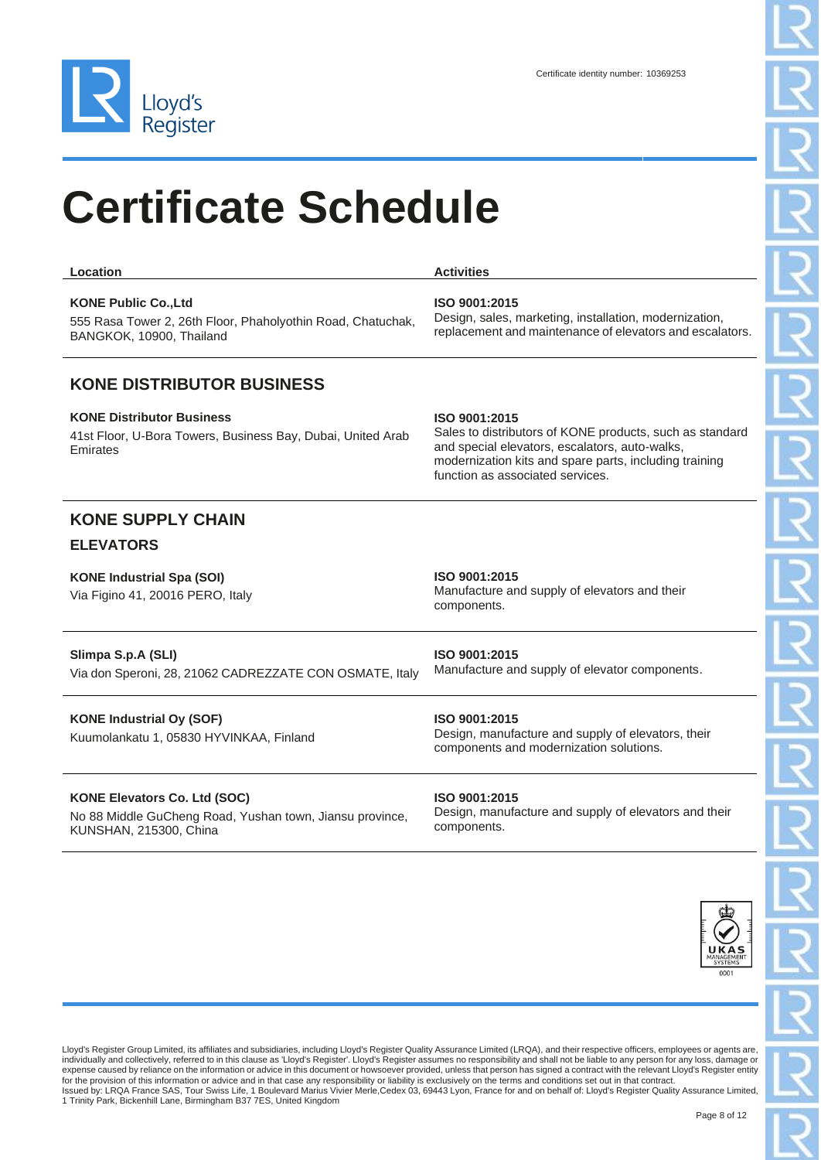

| <b>Location</b>                                                                                                        | <b>Activities</b>                                                                                                                                                                                                         |
|------------------------------------------------------------------------------------------------------------------------|---------------------------------------------------------------------------------------------------------------------------------------------------------------------------------------------------------------------------|
| <b>KONE Public Co., Ltd</b><br>555 Rasa Tower 2, 26th Floor, Phaholyothin Road, Chatuchak,<br>BANGKOK, 10900, Thailand | ISO 9001:2015<br>Design, sales, marketing, installation, modernization,<br>replacement and maintenance of elevators and escalators.                                                                                       |
| <b>KONE DISTRIBUTOR BUSINESS</b>                                                                                       |                                                                                                                                                                                                                           |
| <b>KONE Distributor Business</b><br>41st Floor, U-Bora Towers, Business Bay, Dubai, United Arab<br>Emirates            | ISO 9001:2015<br>Sales to distributors of KONE products, such as standard<br>and special elevators, escalators, auto-walks,<br>modernization kits and spare parts, including training<br>function as associated services. |
| <b>KONE SUPPLY CHAIN</b>                                                                                               |                                                                                                                                                                                                                           |
| <b>ELEVATORS</b>                                                                                                       |                                                                                                                                                                                                                           |
| <b>KONE Industrial Spa (SOI)</b><br>Via Figino 41, 20016 PERO, Italy                                                   | ISO 9001:2015<br>Manufacture and supply of elevators and their<br>components.                                                                                                                                             |
| Slimpa S.p.A (SLI)<br>Via don Speroni, 28, 21062 CADREZZATE CON OSMATE, Italy                                          | ISO 9001:2015<br>Manufacture and supply of elevator components.                                                                                                                                                           |

**KONE Industrial Oy (SOF)** Kuumolankatu 1, 05830 HYVINKAA, Finland **ISO 9001:2015** Design, manufacture and supply of elevators, their components and modernization solutions.

#### **KONE Elevators Co. Ltd (SOC)**

No 88 Middle GuCheng Road, Yushan town, Jiansu province, KUNSHAN, 215300, China

#### **ISO 9001:2015** Design, manufacture and supply of elevators and their components.

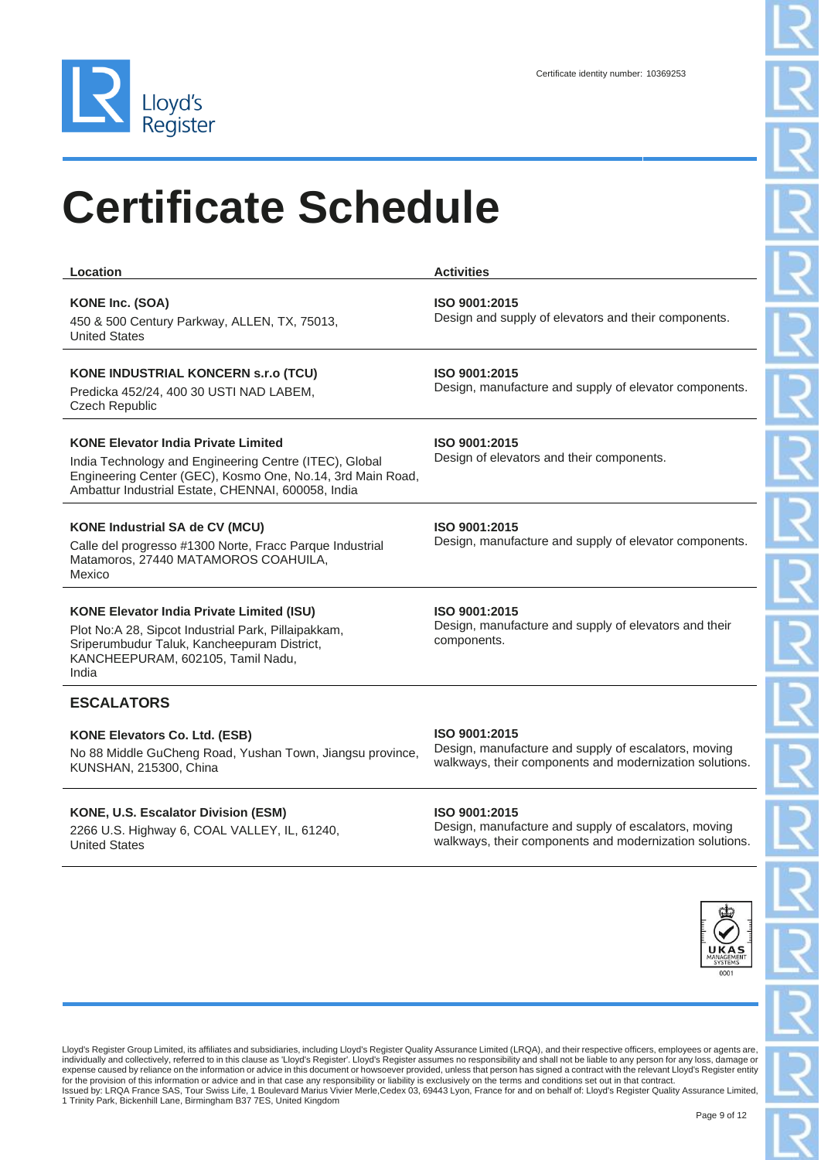

| Location                                                                                                                                                                                                                 | <b>Activities</b>                                                                                                                |
|--------------------------------------------------------------------------------------------------------------------------------------------------------------------------------------------------------------------------|----------------------------------------------------------------------------------------------------------------------------------|
| KONE Inc. (SOA)<br>450 & 500 Century Parkway, ALLEN, TX, 75013,<br><b>United States</b>                                                                                                                                  | ISO 9001:2015<br>Design and supply of elevators and their components.                                                            |
| <b>KONE INDUSTRIAL KONCERN S.r.o (TCU)</b><br>Predicka 452/24, 400 30 USTI NAD LABEM,<br><b>Czech Republic</b>                                                                                                           | ISO 9001:2015<br>Design, manufacture and supply of elevator components.                                                          |
| <b>KONE Elevator India Private Limited</b><br>India Technology and Engineering Centre (ITEC), Global<br>Engineering Center (GEC), Kosmo One, No.14, 3rd Main Road,<br>Ambattur Industrial Estate, CHENNAI, 600058, India | ISO 9001:2015<br>Design of elevators and their components.                                                                       |
| <b>KONE Industrial SA de CV (MCU)</b><br>Calle del progresso #1300 Norte, Fracc Parque Industrial<br>Matamoros, 27440 MATAMOROS COAHUILA,<br>Mexico                                                                      | ISO 9001:2015<br>Design, manufacture and supply of elevator components.                                                          |
| <b>KONE Elevator India Private Limited (ISU)</b><br>Plot No:A 28, Sipcot Industrial Park, Pillaipakkam,<br>Sriperumbudur Taluk, Kancheepuram District,<br>KANCHEEPURAM, 602105, Tamil Nadu,<br>India                     | ISO 9001:2015<br>Design, manufacture and supply of elevators and their<br>components.                                            |
| <b>ESCALATORS</b>                                                                                                                                                                                                        |                                                                                                                                  |
| <b>KONE Elevators Co. Ltd. (ESB)</b><br>No 88 Middle GuCheng Road, Yushan Town, Jiangsu province,<br>KUNSHAN, 215300, China                                                                                              | ISO 9001:2015<br>Design, manufacture and supply of escalators, moving<br>walkways, their components and modernization solutions. |
| KONE, U.S. Escalator Division (ESM)<br>2266 U.S. Highway 6, COAL VALLEY, IL, 61240,<br><b>United States</b>                                                                                                              | ISO 9001:2015<br>Design, manufacture and supply of escalators, moving<br>walkways, their components and modernization solutions. |

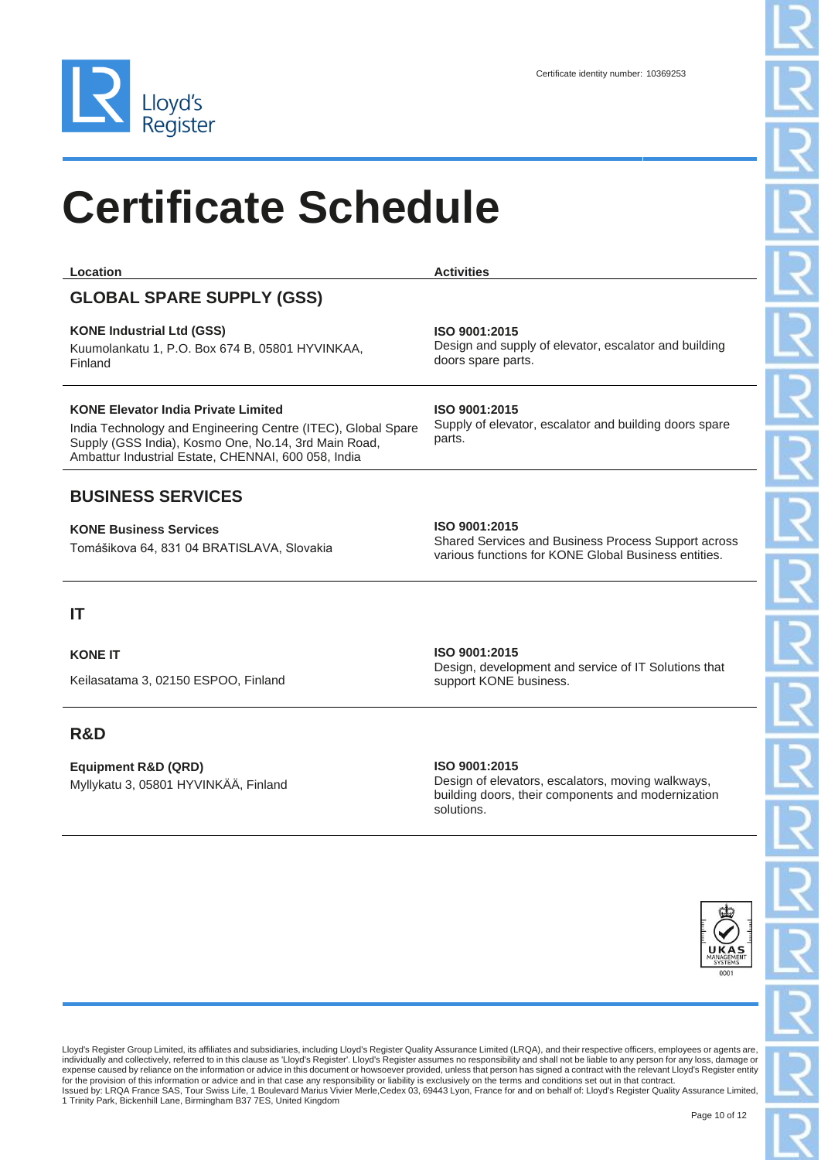

| Location                                                                                                                                                                                                                  | <b>Activities</b>                                                           |
|---------------------------------------------------------------------------------------------------------------------------------------------------------------------------------------------------------------------------|-----------------------------------------------------------------------------|
| <b>GLOBAL SPARE SUPPLY (GSS)</b>                                                                                                                                                                                          |                                                                             |
| <b>KONE Industrial Ltd (GSS)</b><br>Kuumolankatu 1, P.O. Box 674 B. 05801 HYVINKAA.<br>Finland                                                                                                                            | ISO 9001:2015<br>Design and supply of elevator, escal<br>doors spare parts. |
| <b>KONE Elevator India Private Limited</b><br>India Technology and Engineering Centre (ITEC), Global Spare<br>Supply (GSS India), Kosmo One, No.14, 3rd Main Road,<br>Ambattur Industrial Estate, CHENNAI, 600 058, India | ISO 9001:2015<br>Supply of elevator, escalator and bu<br>parts.             |
|                                                                                                                                                                                                                           |                                                                             |

#### **BUSINESS SERVICES**

**KONE Business Services** Tomášikova 64, 831 04 BRATISLAVA, Slovakia

#### **IT**

**KONE IT** 

Keilasatama 3, 02150 ESPOO, Finland

#### **R&D**

**Equipment R&D (QRD)** Myllykatu 3, 05801 HYVINKÄÄ, Finland lator and building

ilding doors spare

#### **ISO 9001:2015**

Shared Services and Business Process Support across various functions for KONE Global Business entities.

### **ISO 9001:2015**

Design, development and service of IT Solutions that support KONE business.

**ISO 9001:2015**

Design of elevators, escalators, moving walkways, building doors, their components and modernization solutions.



Lloyd's Register Group Limited, its affiliates and subsidiaries, including Lloyd's Register Quality Assurance Limited (LRQA), and their respective officers, employees or agents are, individually and collectively, referred to in this clause as 'Lloyd's Register'. Lloyd's Register assumes no responsibility and shall not be liable to any person for any loss, damage or expense caused by reliance on the information or advice in this document or howsoever provided, unless that person has signed a contract with the relevant Lloyd's Register entity for the provision of this information or advice and in that case any responsibility or liability is exclusively on the terms and conditions set out in that contract.<br>Issued by: LRQA France SAS, Tour Swiss Life, 1 Boulevard 1 Trinity Park, Bickenhill Lane, Birmingham B37 7ES, United Kingdom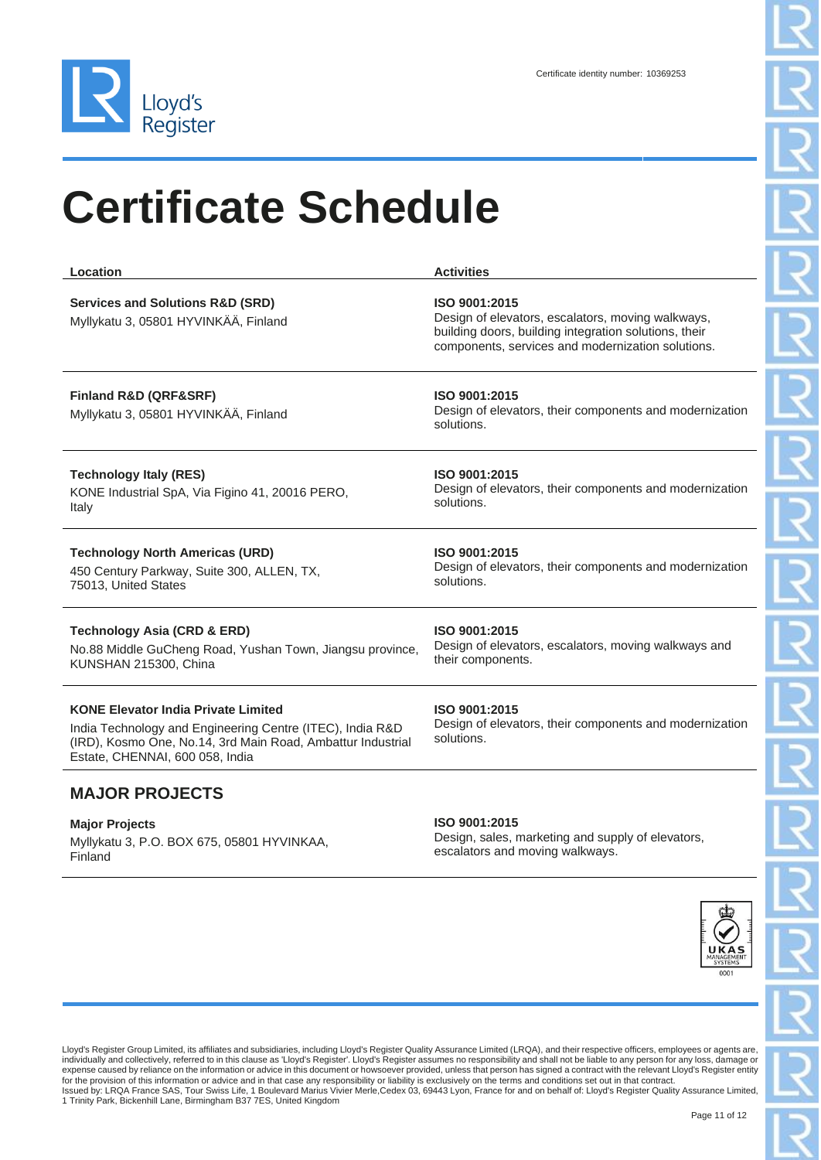

| Location                                                                                                                                                                                                  | <b>Activities</b>                                                                                                                                                                |
|-----------------------------------------------------------------------------------------------------------------------------------------------------------------------------------------------------------|----------------------------------------------------------------------------------------------------------------------------------------------------------------------------------|
| <b>Services and Solutions R&amp;D (SRD)</b><br>Myllykatu 3, 05801 HYVINKÄÄ, Finland                                                                                                                       | ISO 9001:2015<br>Design of elevators, escalators, moving walkways,<br>building doors, building integration solutions, their<br>components, services and modernization solutions. |
| Finland R&D (QRF&SRF)<br>Myllykatu 3, 05801 HYVINKÄÄ, Finland                                                                                                                                             | ISO 9001:2015<br>Design of elevators, their components and modernization<br>solutions.                                                                                           |
| <b>Technology Italy (RES)</b><br>KONE Industrial SpA, Via Figino 41, 20016 PERO,<br>Italy                                                                                                                 | ISO 9001:2015<br>Design of elevators, their components and modernization<br>solutions.                                                                                           |
| <b>Technology North Americas (URD)</b><br>450 Century Parkway, Suite 300, ALLEN, TX,<br>75013, United States                                                                                              | ISO 9001:2015<br>Design of elevators, their components and modernization<br>solutions.                                                                                           |
| <b>Technology Asia (CRD &amp; ERD)</b><br>No.88 Middle GuCheng Road, Yushan Town, Jiangsu province,<br>KUNSHAN 215300, China                                                                              | ISO 9001:2015<br>Design of elevators, escalators, moving walkways and<br>their components.                                                                                       |
| <b>KONE Elevator India Private Limited</b><br>India Technology and Engineering Centre (ITEC), India R&D<br>(IRD), Kosmo One, No.14, 3rd Main Road, Ambattur Industrial<br>Estate, CHENNAI, 600 058, India | ISO 9001:2015<br>Design of elevators, their components and modernization<br>solutions.                                                                                           |

#### **MAJOR PROJECTS**

**Major Projects** Myllykatu 3, P.O. BOX 675, 05801 HYVINKAA, Finland

#### **ISO 9001:2015**

Design, sales, marketing and supply of elevators, escalators and moving walkways.